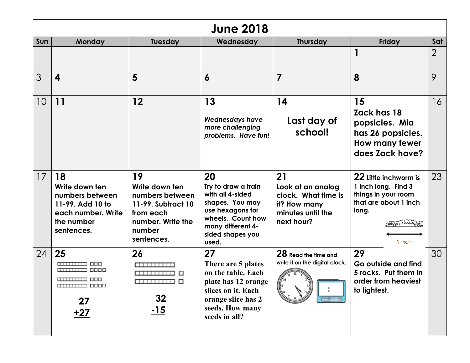| <b>June 2018</b> |                                                                                                               |                                                                                                                         |                                                                                                                                                             |                                                                                                   |                                                                                                                                |                |  |
|------------------|---------------------------------------------------------------------------------------------------------------|-------------------------------------------------------------------------------------------------------------------------|-------------------------------------------------------------------------------------------------------------------------------------------------------------|---------------------------------------------------------------------------------------------------|--------------------------------------------------------------------------------------------------------------------------------|----------------|--|
| Sun              | Monday                                                                                                        | <b>Tuesday</b>                                                                                                          | Wednesday                                                                                                                                                   | <b>Thursday</b>                                                                                   | <b>Friday</b>                                                                                                                  | Sat            |  |
|                  |                                                                                                               |                                                                                                                         |                                                                                                                                                             |                                                                                                   |                                                                                                                                | $\overline{2}$ |  |
| 3                | 4                                                                                                             | 5                                                                                                                       | $\boldsymbol{6}$                                                                                                                                            | 7                                                                                                 | 8                                                                                                                              | 9              |  |
| 10               | 11                                                                                                            | 12                                                                                                                      | 13<br><b>Wednesdays have</b><br>more challenging<br>problems. Have fun!                                                                                     | 14<br>Last day of<br>school!                                                                      | 15<br>Zack has 18<br>popsicles. Mia<br>has 26 popsicles.<br>How many fewer<br>does Zack have?                                  | 16             |  |
| 17               | 18<br>Write down ten<br>numbers between<br>11-99. Add 10 to<br>each number. Write<br>the number<br>sentences. | 19<br>Write down ten<br>numbers between<br>11-99. Subtract 10<br>from each<br>number. Write the<br>number<br>sentences. | 20<br>Try to draw a train<br>with all 4-sided<br>shapes. You may<br>use hexagons for<br>wheels. Count how<br>many different 4-<br>sided shapes you<br>used. | 21<br>Look at an analog<br>clock. What time is<br>it? How many<br>minutes until the<br>next hour? | 22 Little inchworm is<br>1 inch long. Find 3<br>things in your room<br>that are about 1 inch<br>long.<br>VolelelelaN<br>1 inch | 23             |  |
| 24               | 25<br>anuun ooo<br><b>TITULITUM 8888</b><br>anuun 000<br>27<br><u>+27</u>                                     | 26<br>m <del>mmm</del><br><b>ammun 0</b><br>32<br><u>-15</u>                                                            | 27<br>There are 5 plates<br>on the table. Each<br>plate has 12 orange<br>slices on it. Each<br>orange slice has 2<br>seeds. How many<br>seeds in all?       | 28 Read the time and<br>write it on the digital clock.                                            | 29<br>Go outside and find<br>5 rocks. Put them in<br>order from heaviest<br>to lightest.                                       | 30             |  |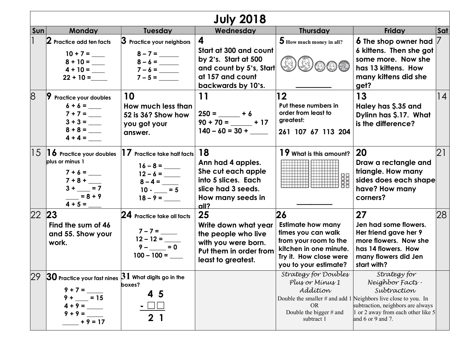| <b>July 2018</b> |                                                                                                                               |                                                                                         |                                                                                                                          |                                                                                                                                                            |                                                                                                                                                                                                                     |                 |  |
|------------------|-------------------------------------------------------------------------------------------------------------------------------|-----------------------------------------------------------------------------------------|--------------------------------------------------------------------------------------------------------------------------|------------------------------------------------------------------------------------------------------------------------------------------------------------|---------------------------------------------------------------------------------------------------------------------------------------------------------------------------------------------------------------------|-----------------|--|
| <b>Sun</b>       | <b>Monday</b>                                                                                                                 | <b>Tuesday</b>                                                                          | Wednesday                                                                                                                | <b>Thursday</b>                                                                                                                                            | Friday                                                                                                                                                                                                              | <b>Sat</b>      |  |
|                  | $2$ Practice add ten facts<br>$10 + 7 =$<br>$4 + 10 =$<br>$22 + 10 =$                                                         | $3$ Practice your neighbors<br>$8 - 7 =$<br>$7 - 5 =$                                   | 4<br>Start at 300 and count<br>by 2's. Start at 500<br>and count by 5's, Start<br>at 157 and count<br>backwards by 10's. | 5 How much money in all?                                                                                                                                   | <b>6</b> The shop owner had<br>6 kittens. Then she got<br>some more. Now she<br>has 13 kittens. How<br>many kittens did she<br>get?                                                                                 |                 |  |
| 8                | 19<br><b>Practice your doubles</b><br>$6 + 6 =$<br>$7 + 7 =$<br>$8 + 8 =$<br>$4 + 4 =$                                        | 10<br>How much less than<br>52 is 36? Show how<br>you got your<br>answer.               | 11<br>$250 =$ + 6<br>$90 + 70 =$ $-$ + 17<br>$140 - 60 = 30 +$                                                           | 12<br>Put these numbers in<br>order from least to<br>greatest:<br>261 107 67 113 204                                                                       | 13<br>Haley has \$.35 and<br>Dylinn has \$.17. What<br>is the difference?                                                                                                                                           | 14              |  |
|                  | $ 15\>$ $ 1\>$ 6 Practice your doubles<br>plus or minus 1<br>$3 + \_ = 7$<br>$= 8 + 9$<br>$4 + 5 =$                           | $17$ Practice take half facts<br>$8 - 4 =$<br>$10 - 5$<br>$18 - 9 =$                    | 18<br>Ann had 4 apples.<br>She cut each apple<br>into 5 slices. Each<br>slice had 3 seeds.<br>How many seeds in<br>all?  | 19 What is this amount?                                                                                                                                    | 20<br>Draw a rectangle and<br>triangle. How many<br>sides does each shape<br>have? How many<br>corners?                                                                                                             | $\overline{2}1$ |  |
| 22 23            | Find the sum of 46<br>and 55. Show your<br>work.                                                                              | 24 Practice take all facts<br>$7 - 7 =$<br>$12 - 12 =$<br>$9 - \_ = 0$<br>$100 - 100 =$ | 25<br>Write down what year<br>the people who live<br>with you were born.<br>Put them in order from<br>least to greatest. | 26<br><b>Estimate how many</b><br>times you can walk<br>from your room to the<br>kitchen in one minute.<br>Try it. How close were<br>you to your estimate? | 27<br>Jen had some flowers.<br>Her friend gave her 9<br>more flowers. Now she<br>has 14 flowers. How<br>many flowers did Jen<br>start with?                                                                         | 28              |  |
| 29               | $ 30$ Practice your fast nines $ 31$ What digits go in the<br>$9 + 7 =$<br>$= 15$<br>$9 +$<br>$4 + 9 =$<br>$+9=$<br>$+9 = 17$ | boxes?<br>5<br>2 1                                                                      |                                                                                                                          | Strategy for Doubles<br>Plus or Minus 1<br>Addítion<br><b>OR</b><br>Double the bigger $#$ and<br>subtract 1                                                | Strategy for<br>Neighbor Facts -<br>Subtraction<br>Double the smaller $#$ and add 1 Neighbors live close to you. In<br>subtraction, neighbors are always<br>1 or 2 away from each other like 5<br>and 6 or 9 and 7. |                 |  |